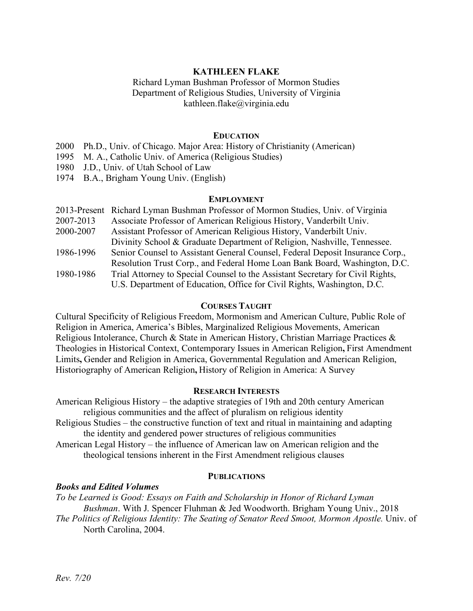# **KATHLEEN FLAKE**

## Richard Lyman Bushman Professor of Mormon Studies Department of Religious Studies, University of Virginia kathleen.flake@virginia.edu

## **EDUCATION**

- 2000 Ph.D., Univ. of Chicago. Major Area: History of Christianity (American)
- 1995 M. A., Catholic Univ. of America (Religious Studies)
- 1980 J.D., Univ. of Utah School of Law
- 1974 B.A., Brigham Young Univ. (English)

### **EMPLOYMENT**

|           | 2013-Present Richard Lyman Bushman Professor of Mormon Studies, Univ. of Virginia |
|-----------|-----------------------------------------------------------------------------------|
| 2007-2013 | Associate Professor of American Religious History, Vanderbilt Univ.               |
| 2000-2007 | Assistant Professor of American Religious History, Vanderbilt Univ.               |
|           | Divinity School & Graduate Department of Religion, Nashville, Tennessee.          |
| 1986-1996 | Senior Counsel to Assistant General Counsel, Federal Deposit Insurance Corp.,     |
|           | Resolution Trust Corp., and Federal Home Loan Bank Board, Washington, D.C.        |
| 1980-1986 | Trial Attorney to Special Counsel to the Assistant Secretary for Civil Rights,    |
|           | U.S. Department of Education, Office for Civil Rights, Washington, D.C.           |
|           |                                                                                   |

#### **COURSES TAUGHT**

Cultural Specificity of Religious Freedom, Mormonism and American Culture, Public Role of Religion in America, America's Bibles, Marginalized Religious Movements, American Religious Intolerance, Church & State in American History, Christian Marriage Practices & Theologies in Historical Context, Contemporary Issues in American Religion**,** First Amendment Limits**,** Gender and Religion in America, Governmental Regulation and American Religion, Historiography of American Religion**,** History of Religion in America: A Survey

### **RESEARCH INTERESTS**

American Religious History – the adaptive strategies of 19th and 20th century American religious communities and the affect of pluralism on religious identity Religious Studies – the constructive function of text and ritual in maintaining and adapting the identity and gendered power structures of religious communities American Legal History – the influence of American law on American religion and the theological tensions inherent in the First Amendment religious clauses

#### **PUBLICATIONS**

### *Books and Edited Volumes*

*To be Learned is Good: Essays on Faith and Scholarship in Honor of Richard Lyman Bushman*. With J. Spencer Fluhman & Jed Woodworth. Brigham Young Univ., 2018 *The Politics of Religious Identity: The Seating of Senator Reed Smoot, Mormon Apostle.* Univ. of North Carolina, 2004.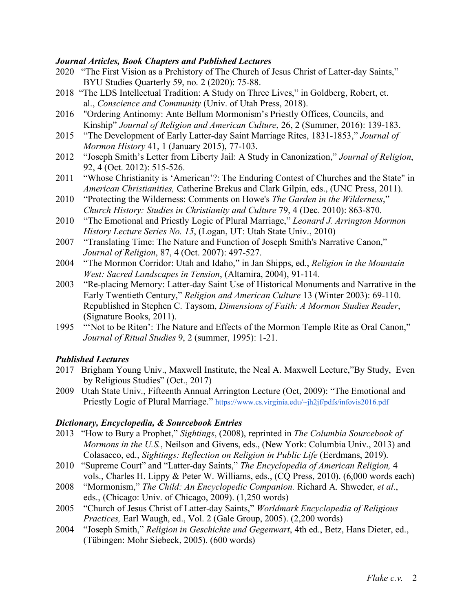# *Journal Articles, Book Chapters and Published Lectures*

- 2020 "The First Vision as a Prehistory of The Church of Jesus Christ of Latter-day Saints," BYU Studies Quarterly 59, no. 2 (2020): 75-88.
- 2018 "The LDS Intellectual Tradition: A Study on Three Lives," in Goldberg, Robert, et. al., *Conscience and Community* (Univ. of Utah Press, 2018).
- 2016 "Ordering Antinomy: Ante Bellum Mormonism's Priestly Offices, Councils, and Kinship" *Journal of Religion and American Culture*, 26, 2 (Summer, 2016): 139-183.
- 2015 "The Development of Early Latter-day Saint Marriage Rites, 1831-1853," *Journal of Mormon History* 41, 1 (January 2015), 77-103.
- 2012 "Joseph Smith's Letter from Liberty Jail: A Study in Canonization," *Journal of Religion*, 92, 4 (Oct. 2012): 515-526.
- 2011 "Whose Christianity is 'American'?: The Enduring Contest of Churches and the State" in *American Christianities,* Catherine Brekus and Clark Gilpin, eds., (UNC Press, 2011).
- 2010 "Protecting the Wilderness: Comments on Howe's *The Garden in the Wilderness*," *Church History: Studies in Christianity and Culture* 79, 4 (Dec. 2010): 863-870.
- 2010 "The Emotional and Priestly Logic of Plural Marriage," *Leonard J. Arrington Mormon History Lecture Series No. 15*, (Logan, UT: Utah State Univ., 2010)
- 2007 "Translating Time: The Nature and Function of Joseph Smith's Narrative Canon," *Journal of Religion*, 87, 4 (Oct. 2007): 497-527.
- 2004 "The Mormon Corridor: Utah and Idaho," in Jan Shipps, ed., *Religion in the Mountain West: Sacred Landscapes in Tension*, (Altamira, 2004), 91-114.
- 2003 "Re-placing Memory: Latter-day Saint Use of Historical Monuments and Narrative in the Early Twentieth Century," *Religion and American Culture* 13 (Winter 2003): 69-110. Republished in Stephen C. Taysom, *Dimensions of Faith: A Mormon Studies Reader*, (Signature Books, 2011).
- 1995 "'Not to be Riten': The Nature and Effects of the Mormon Temple Rite as Oral Canon," *Journal of Ritual Studies* 9, 2 (summer, 1995): 1-21.

# *Published Lectures*

- 2017 Brigham Young Univ., Maxwell Institute, the Neal A. Maxwell Lecture,"By Study, Even by Religious Studies" (Oct., 2017)
- 2009 Utah State Univ., Fifteenth Annual Arrington Lecture (Oct, 2009): "The Emotional and Priestly Logic of Plural Marriage." https://www.cs.virginia.edu/~jh2jf/pdfs/infovis2016.pdf

# *Dictionary, Encyclopedia, & Sourcebook Entries*

- 2013 "How to Bury a Prophet," *Sightings*, (2008), reprinted in *The Columbia Sourcebook of Mormons in the U.S.*, Neilson and Givens, eds., (New York: Columbia Univ., 2013) and Colasacco, ed., *Sightings: Reflection on Religion in Public Life* (Eerdmans, 2019).
- 2010 "Supreme Court" and "Latter-day Saints," *The Encyclopedia of American Religion,* 4 vols., Charles H. Lippy & Peter W. Williams, eds., (CQ Press, 2010). (6,000 words each)
- 2008 "Mormonism," *The Child: An Encyclopedic Companion.* Richard A. Shweder, *et al*., eds., (Chicago: Univ. of Chicago, 2009). (1,250 words)
- 2005 "Church of Jesus Christ of Latter-day Saints," *Worldmark Encyclopedia of Religious Practices,* Earl Waugh, ed., Vol. 2 (Gale Group, 2005). (2,200 words)
- 2004 "Joseph Smith," *Religion in Geschichte und Gegenwart*, 4th ed., Betz, Hans Dieter, ed., (Tübingen: Mohr Siebeck, 2005). (600 words)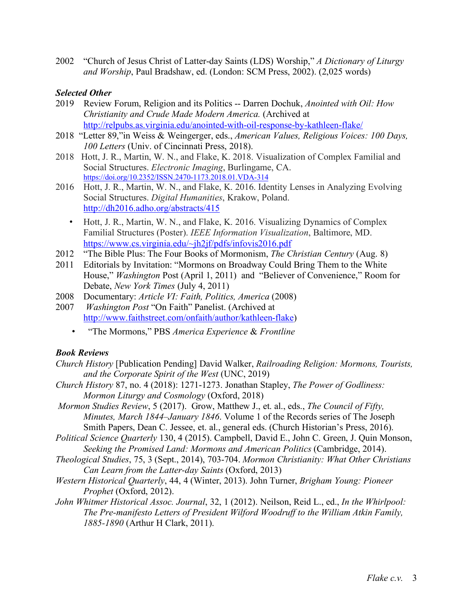2002 "Church of Jesus Christ of Latter-day Saints (LDS) Worship," *A Dictionary of Liturgy and Worship*, Paul Bradshaw, ed. (London: SCM Press, 2002). (2,025 words)

# *Selected Other*

- 2019 Review Forum, Religion and its Politics -- Darren Dochuk, *Anointed with Oil: How Christianity and Crude Made Modern America.* (Archived at http://relpubs.as.virginia.edu/anointed-with-oil-response-by-kathleen-flake/
- 2018 "Letter 89,"in Weiss & Weingerger, eds., *American Values, Religious Voices: 100 Days, 100 Letters* (Univ. of Cincinnati Press, 2018).
- 2018 Hott, J. R., Martin, W. N., and Flake, K. 2018. Visualization of Complex Familial and Social Structures. *Electronic Imaging*, Burlingame, CA. https://doi.org/10.2352/ISSN.2470-1173.2018.01.VDA-314
- 2016 Hott, J. R., Martin, W. N., and Flake, K. 2016. Identity Lenses in Analyzing Evolving Social Structures. *Digital Humanities*, Krakow, Poland. http://dh2016.adho.org/abstracts/415
	- Hott, J. R., Martin, W. N., and Flake, K. 2016. Visualizing Dynamics of Complex Familial Structures (Poster). *IEEE Information Visualization*, Baltimore, MD. https://www.cs.virginia.edu/~jh2jf/pdfs/infovis2016.pdf
- 2012 "The Bible Plus: The Four Books of Mormonism, *The Christian Century* (Aug. 8)
- 2011 Editorials by Invitation: "Mormons on Broadway Could Bring Them to the White House," *Washington* Post (April 1, 2011) and "Believer of Convenience," Room for Debate, *New York Times* (July 4, 2011)
- 2008 Documentary: *Article VI: Faith, Politics, America* (2008)
- 2007 *Washington Post* "On Faith" Panelist. (Archived at http://www.faithstreet.com/onfaith/author/kathleen-flake)
	- "The Mormons," PBS *America Experience* & *Frontline*

# *Book Reviews*

- *Church History* [Publication Pending] David Walker, *Railroading Religion: Mormons, Tourists, and the Corporate Spirit of the West* (UNC, 2019)
- *Church History* 87, no. 4 (2018): 1271-1273. Jonathan Stapley, *The Power of Godliness: Mormon Liturgy and Cosmology* (Oxford, 2018)
- *Mormon Studies Review*, 5 (2017). Grow, Matthew J., et. al., eds., *The Council of Fifty, Minutes, March 1844–January 1846*. Volume 1 of the Records series of The Joseph Smith Papers, Dean C. Jessee, et. al., general eds. (Church Historian's Press, 2016).
- *Political Science Quarterly* 130, 4 (2015). Campbell, David E., John C. Green, J. Quin Monson, *Seeking the Promised Land: Mormons and American Politics* (Cambridge, 2014).
- *Theological Studies*, 75, 3 (Sept., 2014), 703-704. *Mormon Christianity: What Other Christians Can Learn from the Latter-day Saints* (Oxford, 2013)
- *Western Historical Quarterly*, 44, 4 (Winter, 2013). John Turner, *Brigham Young: Pioneer Prophet* (Oxford, 2012).
- *John Whitmer Historical Assoc. Journal*, 32, 1 (2012). Neilson, Reid L., ed., *In the Whirlpool: The Pre-manifesto Letters of President Wilford Woodruff to the William Atkin Family, 1885-1890* (Arthur H Clark, 2011).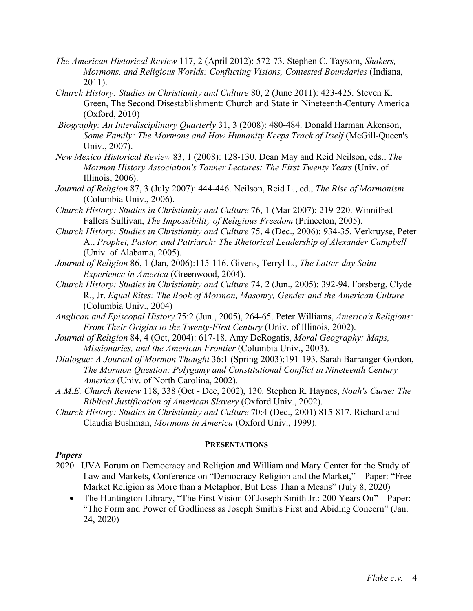- *The American Historical Review* 117, 2 (April 2012): 572-73. Stephen C. Taysom, *Shakers, Mormons, and Religious Worlds: Conflicting Visions, Contested Boundaries* (Indiana, 2011).
- *Church History: Studies in Christianity and Culture* 80, 2 (June 2011): 423-425. Steven K. Green, The Second Disestablishment: Church and State in Nineteenth-Century America (Oxford, 2010)
- *Biography: An Interdisciplinary Quarterly* 31, 3 (2008): 480-484. Donald Harman Akenson, *Some Family: The Mormons and How Humanity Keeps Track of Itself* (McGill-Queen's Univ., 2007).
- *New Mexico Historical Review* 83, 1 (2008): 128-130. Dean May and Reid Neilson, eds., *The Mormon History Association's Tanner Lectures: The First Twenty Years* (Univ. of Illinois, 2006).
- *Journal of Religion* 87, 3 (July 2007): 444-446. Neilson, Reid L., ed., *The Rise of Mormonism* (Columbia Univ., 2006).
- *Church History: Studies in Christianity and Culture* 76, 1 (Mar 2007): 219-220. Winnifred Fallers Sullivan, *The Impossibility of Religious Freedom* (Princeton, 2005).
- *Church History: Studies in Christianity and Culture* 75, 4 (Dec., 2006): 934-35. Verkruyse, Peter A., *Prophet, Pastor, and Patriarch: The Rhetorical Leadership of Alexander Campbell* (Univ. of Alabama, 2005).
- *Journal of Religion* 86, 1 (Jan, 2006):115-116. Givens, Terryl L., *The Latter-day Saint Experience in America* (Greenwood, 2004).
- *Church History: Studies in Christianity and Culture* 74, 2 (Jun., 2005): 392-94. Forsberg, Clyde R., Jr. *Equal Rites: The Book of Mormon, Masonry, Gender and the American Culture* (Columbia Univ., 2004)
- *Anglican and Episcopal History* 75:2 (Jun., 2005), 264-65. Peter Williams, *America's Religions: From Their Origins to the Twenty-First Century* (Univ. of Illinois, 2002).
- *Journal of Religion* 84, 4 (Oct, 2004): 617-18. Amy DeRogatis, *Moral Geography: Maps, Missionaries, and the American Frontier* (Columbia Univ., 2003).
- *Dialogue: A Journal of Mormon Thought* 36:1 (Spring 2003):191-193. Sarah Barranger Gordon, *The Mormon Question: Polygamy and Constitutional Conflict in Nineteenth Century America* (Univ. of North Carolina, 2002).
- *A.M.E. Church Review* 118, 338 (Oct Dec, 2002), 130. Stephen R. Haynes, *Noah's Curse: The Biblical Justification of American Slavery* (Oxford Univ., 2002).
- *Church History: Studies in Christianity and Culture* 70:4 (Dec., 2001) 815-817. Richard and Claudia Bushman, *Mormons in America* (Oxford Univ., 1999).

## **PRESENTATIONS**

## *Papers*

- 2020 UVA Forum on Democracy and Religion and William and Mary Center for the Study of Law and Markets, Conference on "Democracy Religion and the Market," – Paper: "Free-Market Religion as More than a Metaphor, But Less Than a Means" (July 8, 2020)
	- The Huntington Library, "The First Vision Of Joseph Smith Jr.: 200 Years On" Paper: "The Form and Power of Godliness as Joseph Smith's First and Abiding Concern" (Jan. 24, 2020)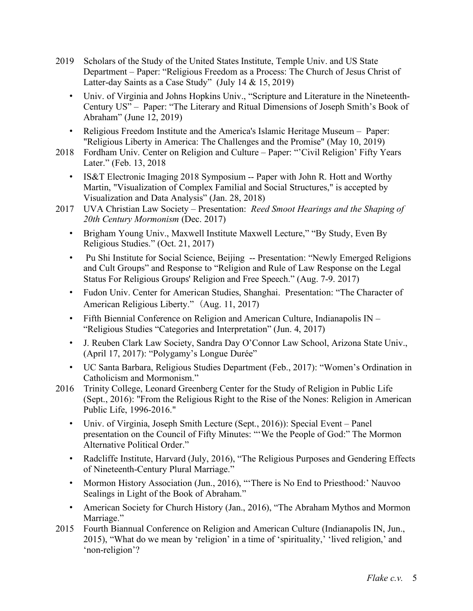- 2019 Scholars of the Study of the United States Institute, Temple Univ. and US State Department – Paper: "Religious Freedom as a Process: The Church of Jesus Christ of Latter-day Saints as a Case Study" (July 14 & 15, 2019)
	- Univ. of Virginia and Johns Hopkins Univ., "Scripture and Literature in the Nineteenth-Century US" – Paper: "The Literary and Ritual Dimensions of Joseph Smith's Book of Abraham" (June 12, 2019)
	- Religious Freedom Institute and the America's Islamic Heritage Museum Paper: "Religious Liberty in America: The Challenges and the Promise" (May 10, 2019)
- 2018Fordham Univ. Center on Religion and Culture Paper: "'Civil Religion' Fifty Years Later." (Feb. 13, 2018
	- IS&T Electronic Imaging 2018 Symposium -- Paper with John R. Hott and Worthy Martin, "Visualization of Complex Familial and Social Structures," is accepted by Visualization and Data Analysis" (Jan. 28, 2018)
- 2017 UVA Christian Law Society Presentation: *Reed Smoot Hearings and the Shaping of 20th Century Mormonism* (Dec. 2017)
	- Brigham Young Univ., Maxwell Institute Maxwell Lecture," "By Study, Even By Religious Studies." (Oct. 21, 2017)
	- Pu Shi Institute for Social Science, Beijing -- Presentation: "Newly Emerged Religions" and Cult Groups" and Response to "Religion and Rule of Law Response on the Legal Status For Religious Groups' Religion and Free Speech." (Aug. 7-9. 2017)
	- Fudon Univ. Center for American Studies, Shanghai. Presentation: "The Character of American Religious Liberty." (Aug. 11, 2017)
	- Fifth Biennial Conference on Religion and American Culture, Indianapolis IN "Religious Studies "Categories and Interpretation" (Jun. 4, 2017)
	- J. Reuben Clark Law Society, Sandra Day O'Connor Law School, Arizona State Univ., (April 17, 2017): "Polygamy's Longue Durée"
	- UC Santa Barbara, Religious Studies Department (Feb., 2017): "Women's Ordination in Catholicism and Mormonism."
- 2016 Trinity College, Leonard Greenberg Center for the Study of Religion in Public Life (Sept., 2016): "From the Religious Right to the Rise of the Nones: Religion in American Public Life, 1996-2016."
	- Univ. of Virginia, Joseph Smith Lecture (Sept., 2016)): Special Event Panel presentation on the Council of Fifty Minutes: "'We the People of God:" The Mormon Alternative Political Order."
	- Radcliffe Institute, Harvard (July, 2016), "The Religious Purposes and Gendering Effects of Nineteenth-Century Plural Marriage."
	- Mormon History Association (Jun., 2016), "'There is No End to Priesthood:' Nauvoo Sealings in Light of the Book of Abraham."
	- American Society for Church History (Jan., 2016), "The Abraham Mythos and Mormon Marriage."
- 2015 Fourth Biannual Conference on Religion and American Culture (Indianapolis IN, Jun., 2015), "What do we mean by 'religion' in a time of 'spirituality,' 'lived religion,' and 'non-religion'?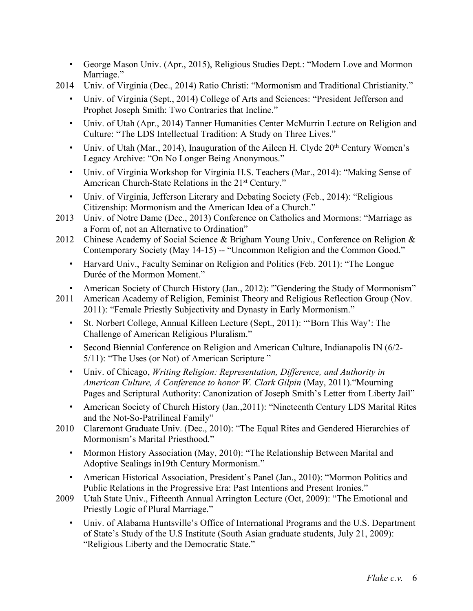- George Mason Univ. (Apr., 2015), Religious Studies Dept.: "Modern Love and Mormon Marriage."
- 2014 Univ. of Virginia (Dec., 2014) Ratio Christi: "Mormonism and Traditional Christianity."
	- Univ. of Virginia (Sept., 2014) College of Arts and Sciences: "President Jefferson and Prophet Joseph Smith: Two Contraries that Incline."
	- Univ. of Utah (Apr., 2014) Tanner Humanities Center McMurrin Lecture on Religion and Culture: "The LDS Intellectual Tradition: A Study on Three Lives."
	- Univ. of Utah (Mar., 2014), Inauguration of the Aileen H. Clyde  $20<sup>th</sup>$  Century Women's Legacy Archive: "On No Longer Being Anonymous."
	- Univ. of Virginia Workshop for Virginia H.S. Teachers (Mar., 2014): "Making Sense of American Church-State Relations in the 21<sup>st</sup> Century."
	- Univ. of Virginia, Jefferson Literary and Debating Society (Feb., 2014): "Religious Citizenship: Mormonism and the American Idea of a Church."
- 2013 Univ. of Notre Dame (Dec., 2013) Conference on Catholics and Mormons: "Marriage as a Form of, not an Alternative to Ordination"
- 2012 Chinese Academy of Social Science & Brigham Young Univ., Conference on Religion & Contemporary Society (May 14-15) -- "Uncommon Religion and the Common Good."
	- Harvard Univ., Faculty Seminar on Religion and Politics (Feb. 2011): "The Longue Durée of the Mormon Moment."
	- American Society of Church History (Jan., 2012): "'Gendering the Study of Mormonism"
- 2011 American Academy of Religion, Feminist Theory and Religious Reflection Group (Nov. 2011): "Female Priestly Subjectivity and Dynasty in Early Mormonism."
	- St. Norbert College, Annual Killeen Lecture (Sept., 2011): "'Born This Way': The Challenge of American Religious Pluralism."
	- Second Biennial Conference on Religion and American Culture, Indianapolis IN (6/2- 5/11): "The Uses (or Not) of American Scripture "
	- Univ. of Chicago, *Writing Religion: Representation, Difference, and Authority in American Culture, A Conference to honor W. Clark Gilpin* (May, 2011)."Mourning Pages and Scriptural Authority: Canonization of Joseph Smith's Letter from Liberty Jail"
	- American Society of Church History (Jan., 2011): "Nineteenth Century LDS Marital Rites and the Not-So-Patrilineal Family"
- 2010 Claremont Graduate Univ. (Dec., 2010): "The Equal Rites and Gendered Hierarchies of Mormonism's Marital Priesthood."
	- Mormon History Association (May, 2010): "The Relationship Between Marital and Adoptive Sealings in19th Century Mormonism."
	- American Historical Association, President's Panel (Jan., 2010): "Mormon Politics and Public Relations in the Progressive Era: Past Intentions and Present Ironies."
- 2009 Utah State Univ., Fifteenth Annual Arrington Lecture (Oct, 2009): "The Emotional and Priestly Logic of Plural Marriage."
	- Univ. of Alabama Huntsville's Office of International Programs and the U.S. Department of State's Study of the U.S Institute (South Asian graduate students, July 21, 2009): "Religious Liberty and the Democratic State."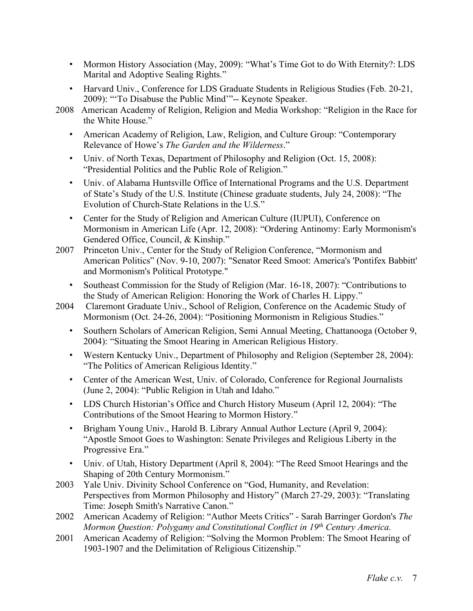- Mormon History Association (May, 2009): "What's Time Got to do With Eternity?: LDS Marital and Adoptive Sealing Rights."
- Harvard Univ., Conference for LDS Graduate Students in Religious Studies (Feb. 20-21, 2009): "'To Disabuse the Public Mind'"-- Keynote Speaker.
- 2008 American Academy of Religion, Religion and Media Workshop: "Religion in the Race for the White House."
	- American Academy of Religion, Law, Religion, and Culture Group: "Contemporary Relevance of Howe's *The Garden and the Wilderness*."
	- Univ. of North Texas, Department of Philosophy and Religion (Oct. 15, 2008): "Presidential Politics and the Public Role of Religion."
	- Univ. of Alabama Huntsville Office of International Programs and the U.S. Department of State's Study of the U.S. Institute (Chinese graduate students, July 24, 2008): "The Evolution of Church-State Relations in the U.S."
	- Center for the Study of Religion and American Culture (IUPUI), Conference on Mormonism in American Life (Apr. 12, 2008): "Ordering Antinomy: Early Mormonism's Gendered Office, Council, & Kinship."
- 2007 Princeton Univ., Center for the Study of Religion Conference, "Mormonism and American Politics" (Nov. 9-10, 2007): "Senator Reed Smoot: America's 'Pontifex Babbitt' and Mormonism's Political Prototype."
	- Southeast Commission for the Study of Religion (Mar. 16-18, 2007): "Contributions to the Study of American Religion: Honoring the Work of Charles H. Lippy."
- 2004 Claremont Graduate Univ., School of Religion, Conference on the Academic Study of Mormonism (Oct. 24-26, 2004): "Positioning Mormonism in Religious Studies."
	- Southern Scholars of American Religion, Semi Annual Meeting, Chattanooga (October 9, 2004): "Situating the Smoot Hearing in American Religious History.
	- Western Kentucky Univ., Department of Philosophy and Religion (September 28, 2004): "The Politics of American Religious Identity."
	- Center of the American West, Univ. of Colorado, Conference for Regional Journalists (June 2, 2004): "Public Religion in Utah and Idaho."
	- LDS Church Historian's Office and Church History Museum (April 12, 2004): "The Contributions of the Smoot Hearing to Mormon History."
	- Brigham Young Univ., Harold B. Library Annual Author Lecture (April 9, 2004): "Apostle Smoot Goes to Washington: Senate Privileges and Religious Liberty in the Progressive Era."
	- Univ. of Utah, History Department (April 8, 2004): "The Reed Smoot Hearings and the Shaping of 20th Century Mormonism."
- 2003 Yale Univ. Divinity School Conference on "God, Humanity, and Revelation: Perspectives from Mormon Philosophy and History" (March 27-29, 2003): "Translating Time: Joseph Smith's Narrative Canon."
- 2002 American Academy of Religion: "Author Meets Critics" Sarah Barringer Gordon's *The Mormon Question: Polygamy and Constitutional Conflict in 19th Century America.*
- 2001 American Academy of Religion: "Solving the Mormon Problem: The Smoot Hearing of 1903-1907 and the Delimitation of Religious Citizenship."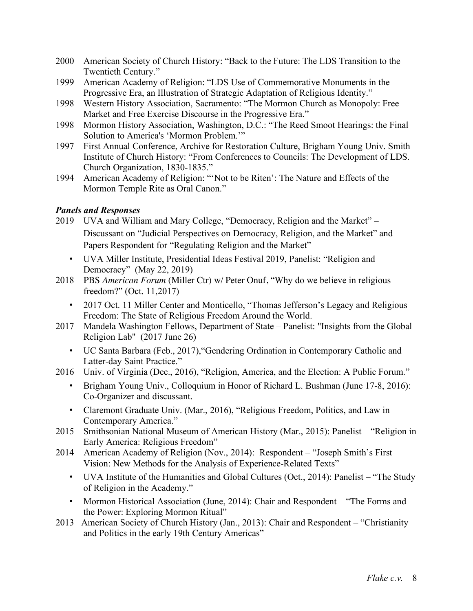- 2000 American Society of Church History: "Back to the Future: The LDS Transition to the Twentieth Century."
- 1999 American Academy of Religion: "LDS Use of Commemorative Monuments in the Progressive Era, an Illustration of Strategic Adaptation of Religious Identity."
- 1998 Western History Association, Sacramento: "The Mormon Church as Monopoly: Free Market and Free Exercise Discourse in the Progressive Era."
- 1998 Mormon History Association, Washington, D.C.: "The Reed Smoot Hearings: the Final Solution to America's 'Mormon Problem.'"
- 1997 First Annual Conference, Archive for Restoration Culture, Brigham Young Univ. Smith Institute of Church History: "From Conferences to Councils: The Development of LDS. Church Organization, 1830-1835."
- 1994 American Academy of Religion: "'Not to be Riten': The Nature and Effects of the Mormon Temple Rite as Oral Canon."

# *Panels and Responses*

- 2019 UVA and William and Mary College, "Democracy, Religion and the Market" Discussant on "Judicial Perspectives on Democracy, Religion, and the Market" and Papers Respondent for "Regulating Religion and the Market"
	- UVA Miller Institute, Presidential Ideas Festival 2019, Panelist: "Religion and Democracy" (May 22, 2019)
- 2018 PBS *American Forum* (Miller Ctr) w/ Peter Onuf, "Why do we believe in religious freedom?" (Oct. 11,2017)
	- 2017 Oct. 11 Miller Center and Monticello, "Thomas Jefferson's Legacy and Religious Freedom: The State of Religious Freedom Around the World.
- 2017 Mandela Washington Fellows, Department of State Panelist: "Insights from the Global Religion Lab" (2017 June 26)
	- UC Santa Barbara (Feb., 2017),"Gendering Ordination in Contemporary Catholic and Latter-day Saint Practice."
- 2016 Univ. of Virginia (Dec., 2016), "Religion, America, and the Election: A Public Forum."
	- Brigham Young Univ., Colloquium in Honor of Richard L. Bushman (June 17-8, 2016): Co-Organizer and discussant.
	- Claremont Graduate Univ. (Mar., 2016), "Religious Freedom, Politics, and Law in Contemporary America."
- 2015 Smithsonian National Museum of American History (Mar., 2015): Panelist "Religion in Early America: Religious Freedom"
- 2014 American Academy of Religion (Nov., 2014): Respondent "Joseph Smith's First Vision: New Methods for the Analysis of Experience-Related Texts"
	- UVA Institute of the Humanities and Global Cultures (Oct., 2014): Panelist "The Study of Religion in the Academy."
	- Mormon Historical Association (June, 2014): Chair and Respondent "The Forms and the Power: Exploring Mormon Ritual"
- 2013 American Society of Church History (Jan., 2013): Chair and Respondent "Christianity and Politics in the early 19th Century Americas"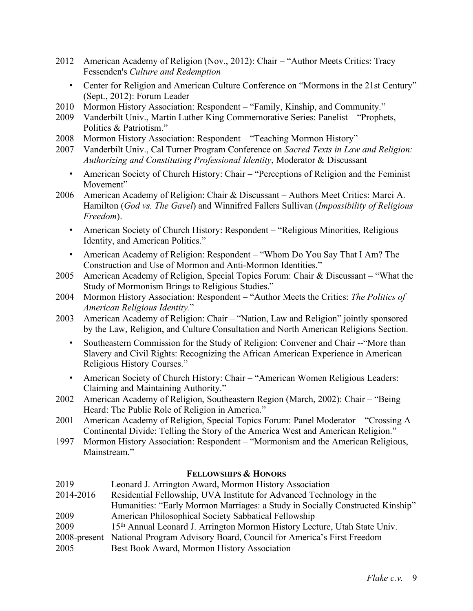- 2012 American Academy of Religion (Nov., 2012): Chair "Author Meets Critics: Tracy Fessenden's *Culture and Redemption*
	- Center for Religion and American Culture Conference on "Mormons in the 21st Century" (Sept., 2012): Forum Leader
- 2010 Mormon History Association: Respondent "Family, Kinship, and Community."
- 2009 Vanderbilt Univ., Martin Luther King Commemorative Series: Panelist "Prophets, Politics & Patriotism."
- 2008 Mormon History Association: Respondent "Teaching Mormon History"
- 2007 Vanderbilt Univ., Cal Turner Program Conference on *Sacred Texts in Law and Religion: Authorizing and Constituting Professional Identity*, Moderator & Discussant
	- American Society of Church History: Chair "Perceptions of Religion and the Feminist Movement"
- 2006 American Academy of Religion: Chair & Discussant Authors Meet Critics: Marci A. Hamilton (*God vs. The Gavel*) and Winnifred Fallers Sullivan (*Impossibility of Religious Freedom*).
	- American Society of Church History: Respondent "Religious Minorities, Religious Identity, and American Politics."
	- American Academy of Religion: Respondent "Whom Do You Say That I Am? The Construction and Use of Mormon and Anti-Mormon Identities."
- 2005 American Academy of Religion, Special Topics Forum: Chair & Discussant "What the Study of Mormonism Brings to Religious Studies."
- 2004 Mormon History Association: Respondent "Author Meets the Critics: *The Politics of American Religious Identity.*"
- 2003 American Academy of Religion: Chair "Nation, Law and Religion" jointly sponsored by the Law, Religion, and Culture Consultation and North American Religions Section.
	- Southeastern Commission for the Study of Religion: Convener and Chair -- "More than Slavery and Civil Rights: Recognizing the African American Experience in American Religious History Courses."
	- American Society of Church History: Chair "American Women Religious Leaders: Claiming and Maintaining Authority."
- 2002 American Academy of Religion, Southeastern Region (March, 2002): Chair "Being Heard: The Public Role of Religion in America."
- 2001 American Academy of Religion, Special Topics Forum: Panel Moderator "Crossing A Continental Divide: Telling the Story of the America West and American Religion."
- 1997 Mormon History Association: Respondent "Mormonism and the American Religious, Mainstream"

## **FELLOWSHIPS & HONORS**

| 2019         | Leonard J. Arrington Award, Mormon History Association                                |
|--------------|---------------------------------------------------------------------------------------|
| 2014-2016    | Residential Fellowship, UVA Institute for Advanced Technology in the                  |
|              | Humanities: "Early Mormon Marriages: a Study in Socially Constructed Kinship"         |
| 2009         | American Philosophical Society Sabbatical Fellowship                                  |
| 2009         | 15 <sup>th</sup> Annual Leonard J. Arrington Mormon History Lecture, Utah State Univ. |
| 2008-present | National Program Advisory Board, Council for America's First Freedom                  |
| 2005         | Best Book Award, Mormon History Association                                           |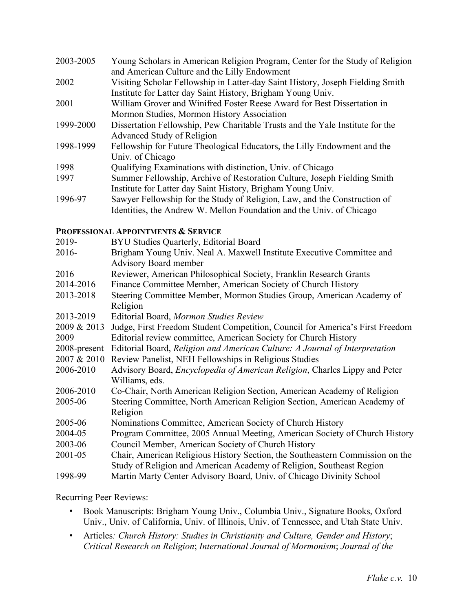| 2003-2005 | Young Scholars in American Religion Program, Center for the Study of Religion  |
|-----------|--------------------------------------------------------------------------------|
|           | and American Culture and the Lilly Endowment                                   |
| 2002      | Visiting Scholar Fellowship in Latter-day Saint History, Joseph Fielding Smith |
|           | Institute for Latter day Saint History, Brigham Young Univ.                    |
| 2001      | William Grover and Winifred Foster Reese Award for Best Dissertation in        |
|           | Mormon Studies, Mormon History Association                                     |
| 1999-2000 | Dissertation Fellowship, Pew Charitable Trusts and the Yale Institute for the  |
|           | Advanced Study of Religion                                                     |
| 1998-1999 | Fellowship for Future Theological Educators, the Lilly Endowment and the       |
|           | Univ. of Chicago                                                               |
| 1998      | Qualifying Examinations with distinction, Univ. of Chicago                     |
| 1997      | Summer Fellowship, Archive of Restoration Culture, Joseph Fielding Smith       |
|           | Institute for Latter day Saint History, Brigham Young Univ.                    |
| 1006 07   | Sauryer Fellowship for the Study of Peligion Law and the Construction of       |

1996-97 Sawyer Fellowship for the Study of Religion, Law, and the Construction of Identities, the Andrew W. Mellon Foundation and the Univ. of Chicago

## **PROFESSIONAL APPOINTMENTS & SERVICE**

| 2019-        | BYU Studies Quarterly, Editorial Board                                             |
|--------------|------------------------------------------------------------------------------------|
| $2016 -$     | Brigham Young Univ. Neal A. Maxwell Institute Executive Committee and              |
|              | <b>Advisory Board member</b>                                                       |
| 2016         | Reviewer, American Philosophical Society, Franklin Research Grants                 |
| 2014-2016    | Finance Committee Member, American Society of Church History                       |
| 2013-2018    | Steering Committee Member, Mormon Studies Group, American Academy of               |
|              | Religion                                                                           |
| 2013-2019    | Editorial Board, Mormon Studies Review                                             |
| 2009 & 2013  | Judge, First Freedom Student Competition, Council for America's First Freedom      |
| 2009         | Editorial review committee, American Society for Church History                    |
| 2008-present | Editorial Board, Religion and American Culture: A Journal of Interpretation        |
| 2007 & 2010  | Review Panelist, NEH Fellowships in Religious Studies                              |
| 2006-2010    | Advisory Board, <i>Encyclopedia of American Religion</i> , Charles Lippy and Peter |
|              | Williams, eds.                                                                     |
| 2006-2010    | Co-Chair, North American Religion Section, American Academy of Religion            |
| 2005-06      | Steering Committee, North American Religion Section, American Academy of           |
|              | Religion                                                                           |
| 2005-06      | Nominations Committee, American Society of Church History                          |
| 2004-05      | Program Committee, 2005 Annual Meeting, American Society of Church History         |
| 2003-06      | Council Member, American Society of Church History                                 |
| 2001-05      | Chair, American Religious History Section, the Southeastern Commission on the      |
|              | Study of Religion and American Academy of Religion, Southeast Region               |
| 1998-99      | Martin Marty Center Advisory Board, Univ. of Chicago Divinity School               |

Recurring Peer Reviews:

- Book Manuscripts: Brigham Young Univ., Columbia Univ., Signature Books, Oxford Univ., Univ. of California, Univ. of Illinois, Univ. of Tennessee, and Utah State Univ.
- Articles*: Church History: Studies in Christianity and Culture, Gender and History*; *Critical Research on Religion*; *International Journal of Mormonism*; *Journal of the*